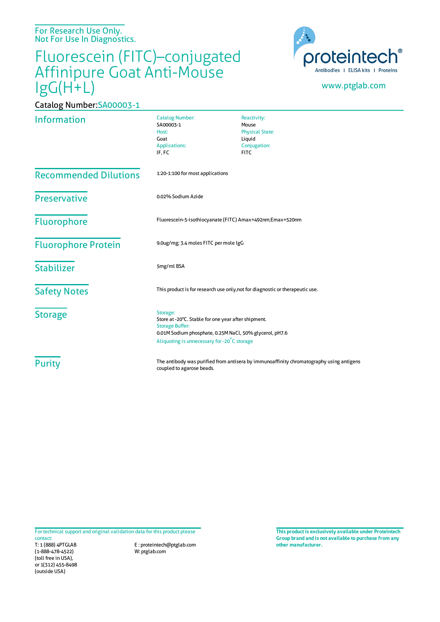For Research Use Only. Not For Use In Diagnostics.

Catalog Number:SA00003-1

## Fluorescein (FITC)–conjugated Affinipure Goat Anti-Mouse IgG(H+L)



## www.ptglab.com

| <b>Information</b>           | <b>Catalog Number:</b><br>SA00003-1<br>Host:<br>Goat<br><b>Applications:</b><br>IF, FC                                                                                                              | Reactivity:<br>Mouse<br><b>Physical State:</b><br>Liquid<br>Conjugation:<br><b>FITC</b> |
|------------------------------|-----------------------------------------------------------------------------------------------------------------------------------------------------------------------------------------------------|-----------------------------------------------------------------------------------------|
| <b>Recommended Dilutions</b> | 1:20-1:100 for most applications                                                                                                                                                                    |                                                                                         |
| Preservative                 | 0.02% Sodium Azide                                                                                                                                                                                  |                                                                                         |
| Fluorophore                  | Fluorescein-5-isothiocyanate (FITC) Amax=492nm;Emax=520nm                                                                                                                                           |                                                                                         |
| <b>Fluorophore Protein</b>   | 9.0ug/mg; 3.4 moles FITC per mole IgG                                                                                                                                                               |                                                                                         |
| <b>Stabilizer</b>            | 5mg/ml BSA                                                                                                                                                                                          |                                                                                         |
| <b>Safety Notes</b>          | This product is for research use only, not for diagnostic or therapeutic use.                                                                                                                       |                                                                                         |
| <b>Storage</b>               | Storage:<br>Store at -20°C. Stable for one year after shipment.<br><b>Storage Buffer:</b><br>0.01M Sodium phosphate, 0.25M NaCl, 50% glycerol, pH7.6<br>Aliquoting is unnecessary for -20°C storage |                                                                                         |
| <b>Purity</b>                | The antibody was purified from antisera by immunoaffinity chromatography using antigens<br>coupled to agarose beads.                                                                                |                                                                                         |

For technical support and original validation data for this product please contact:

T: 1 (888) 4PTGLAB (1-888-478-4522) (toll free in USA), or 1(312) 455-8498 (outside USA)

E : proteintech@ptglab.com W: ptglab.com

**This productis exclusively available under Proteintech Group brand and is not available to purchase from any other manufacturer.**